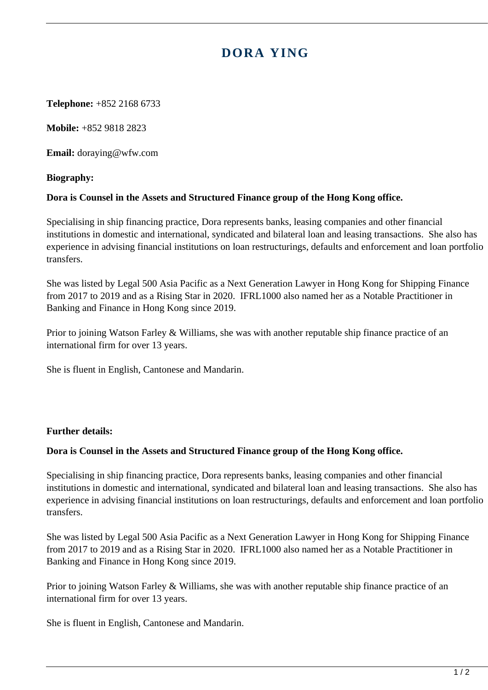# **DORA YING**

**Telephone:** +852 2168 6733

**Mobile:** +852 9818 2823

**Email:** doraying@wfw.com

## **Biography:**

## **Dora is Counsel in the Assets and Structured Finance group of the Hong Kong office.**

Specialising in ship financing practice, Dora represents banks, leasing companies and other financial institutions in domestic and international, syndicated and bilateral loan and leasing transactions. She also has experience in advising financial institutions on loan restructurings, defaults and enforcement and loan portfolio transfers.

She was listed by Legal 500 Asia Pacific as a Next Generation Lawyer in Hong Kong for Shipping Finance from 2017 to 2019 and as a Rising Star in 2020. IFRL1000 also named her as a Notable Practitioner in Banking and Finance in Hong Kong since 2019.

Prior to joining Watson Farley & Williams, she was with another reputable ship finance practice of an international firm for over 13 years.

She is fluent in English, Cantonese and Mandarin.

#### **Further details:**

#### **Dora is Counsel in the Assets and Structured Finance group of the Hong Kong office.**

Specialising in ship financing practice, Dora represents banks, leasing companies and other financial institutions in domestic and international, syndicated and bilateral loan and leasing transactions. She also has experience in advising financial institutions on loan restructurings, defaults and enforcement and loan portfolio transfers.

She was listed by Legal 500 Asia Pacific as a Next Generation Lawyer in Hong Kong for Shipping Finance from 2017 to 2019 and as a Rising Star in 2020. IFRL1000 also named her as a Notable Practitioner in Banking and Finance in Hong Kong since 2019.

Prior to joining Watson Farley & Williams, she was with another reputable ship finance practice of an international firm for over 13 years.

She is fluent in English, Cantonese and Mandarin.